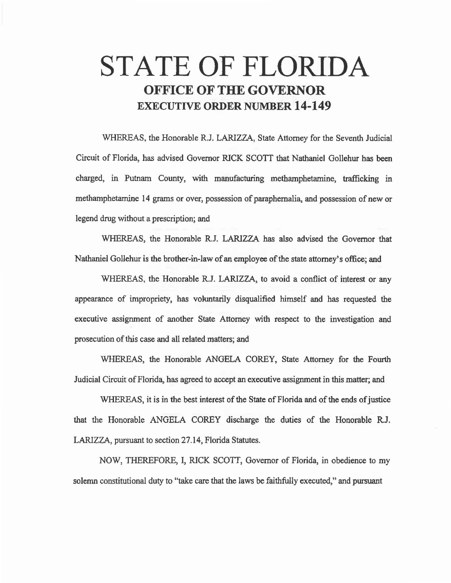## STATE OF FLORIDA OFFICE OF THE GOVERNOR EXECUTIVE ORDER NUMBER 14-149

WHEREAS, the Honorable R.J. LARIZZA, State Attorney for the Seventh Judicial Circuit of Florida, has advised Governor RICK SCOTT that Nathaniel Gollehur has been charged, in Putnam County, with manufacturing methamphetamine, trafficking in methamphetamine 14 grams or over, possession of paraphernalia, and possession of new or legend drug without a prescription; and

WHEREAS, the Honorable R.J. LARIZZA has also advised the Governor that Nathaniel Gollehur is the brother.in-law of an employee of the state attorney's office; and

WHEREAS, the Honorable R.J. LARIZZA, to avoid a conflict of interest or any appearance of impropriety, has voiuntarily disqualified himself and has requested the executive assignment of another State Attorney with respect to the investigation and prosecution of this case and all related matters; and

WHEREAS, the Honorable ANGELA COREY, State Attorney for the Fourth Judicial Circuit of Florida, has agreed to accept an executive assignment in this matter; and

WHEREAS, it is in the best interest of the State of Florida and of the ends of justice that the Honorable ANGELA COREY discharge the duties of the Honorable R.J. LARIZZA, pursuant to section 27.14, Florida Statutes.

NOW, THEREFORE, I, RICK SCOTT, Governor of Florida, in obedience to my solemn constitutional duty to "take care that the laws be faithfully executed," and pursuant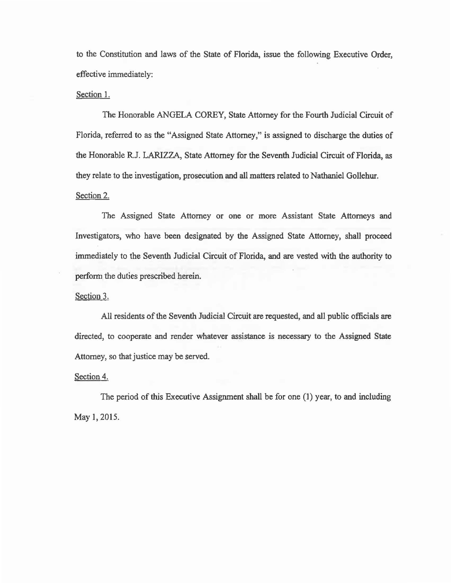to the Constitution and laws of the State of Florida, issue the following Executive Order, effective immediately:

## Section 1.

The Honorable ANGELA COREY, State Attorney for the Fourth Judicial Circuit of Florida, referred to as the "Assigned State Attorney,'' is assigned to discharge the duties of the Honorable R.J. LARIZZA, State Attorney for the Seventh Judicial Circuit of Florida, as they relate to the investigation, prosecution and all matters related to Nathaniel Gollehur. Section 2.

The Assigned State Attorney or one or more Assistant State Attorneys and Investigators, who have been designated by the Assigned State Attorney, shall proceed immediately to the Seventh Judicial Circuit of Florida, and are vested with the authority to perfonn the duties prescribed herein.

Section 3.

All residents of the Seventh Judicial Circuit are requested, and all public officials are directed, to cooperate and render whatever assistance is necessary to the Assigned State Attorney, so that justice may be served.

Section 4.

The period of this Executive Assignment shall be for one (1) year, to and including May 1, 2015.